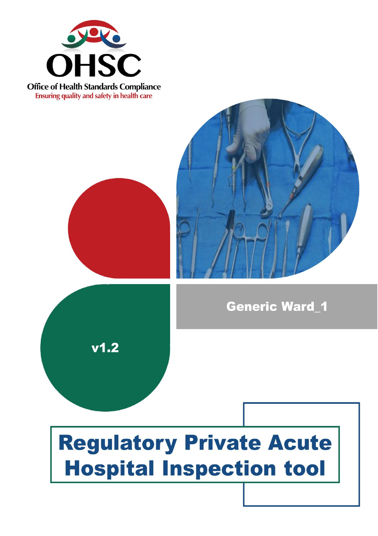

**Office of Health Standards Compliance Ensuring quality and safety in health care** 

 $v1.2$ 





# **Regulatory Private Acute Hospital Inspection tool**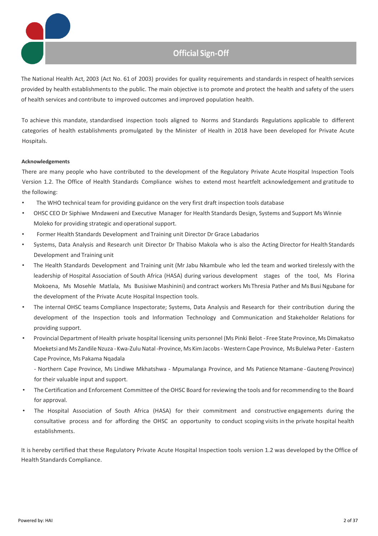

The National Health Act, 2003 (Act No. 61 of 2003) provides for quality requirements and standards in respect of health services provided by health establishmentsto the public. The main objective isto promote and protect the health and safety of the users of health services and contribute to improved outcomes and improved population health.

To achieve this mandate, standardised inspection tools aligned to Norms and Standards Regulations applicable to different categories of health establishments promulgated by the Minister of Health in 2018 have been developed for Private Acute Hospitals.

#### **Acknowledgements**

There are many people who have contributed to the development of the Regulatory Private Acute Hospital Inspection Tools Version 1.2. The Office of Health Standards Compliance wishes to extend most heartfelt acknowledgement and gratitude to the following:

- The WHO technical team for providing guidance on the very first draft inspection tools database
- OHSC CEO Dr Siphiwe Mndaweni and Executive Manager for Health Standards Design, Systems and Support Ms Winnie Moleko for providing strategic and operational support.
- Former Health Standards Development and Training unit Director Dr Grace Labadarios
- Systems, Data Analysis and Research unit Director Dr Thabiso Makola who is also the Acting Director for Health Standards Development and Training unit
- The Health Standards Development and Training unit (Mr Jabu Nkambule who led the team and worked tirelessly with the leadership of Hospital Association of South Africa (HASA) during various development stages of the tool, Ms Florina Mokoena, Ms Mosehle Matlala, Ms Busisiwe Mashinini) and contract workers Ms Thresia Pather and Ms Busi Ngubane for the development of the Private Acute Hospital Inspection tools.
- The internal OHSC teams Compliance Inspectorate; Systems, Data Analysis and Research for their contribution during the development of the Inspection tools and Information Technology and Communication and Stakeholder Relations for providing support.
- Provincial Department of Health private hospital licensing units personnel (Ms Pinki Belot Free State Province, Ms Dimakatso Moeketsi and Ms Zandile Nzuza - Kwa-Zulu Natal-Province, Ms Kim Jacobs - Western Cape Province, Ms Bulelwa Peter - Eastern Cape Province, Ms Pakama Nqadala

- Northern Cape Province, Ms Lindiwe Mkhatshwa - Mpumalanga Province, and Ms Patience Ntamane -Gauteng Province) for their valuable input and support.

- The Certification and Enforcement Committee of the OHSC Board for reviewing the tools and for recommending to the Board for approval.
- The Hospital Association of South Africa (HASA) for their commitment and constructive engagements during the consultative process and for affording the OHSC an opportunity to conduct scoping visits in the private hospital health establishments.

It is hereby certified that these Regulatory Private Acute Hospital Inspection tools version 1.2 was developed by the Office of Health Standards Compliance.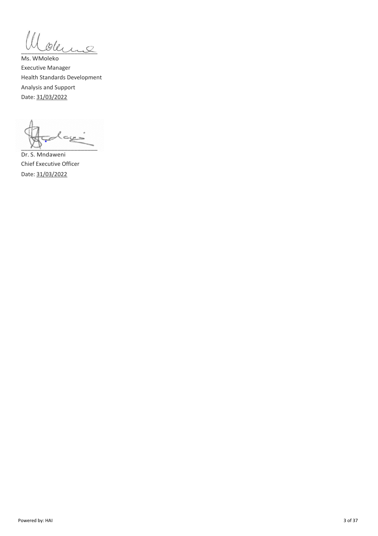Ill oderne

Ms. WMoleko Executive Manager Health Standards Development Analysis and Support Date: 31/03/2022

أدييت  $\sim$   $\sim$ 

Dr. S. Mndaweni Chief Executive Officer Date: 31/03/2022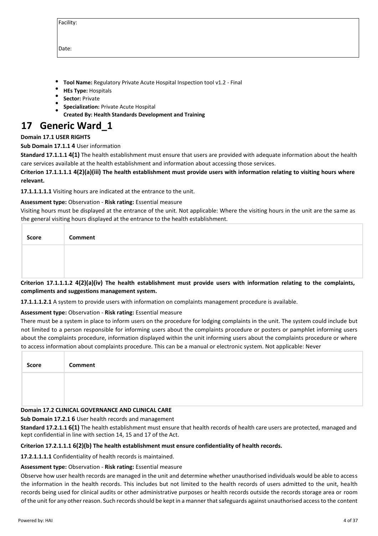| acilit <sup>.</sup> |  |
|---------------------|--|
|                     |  |

Date:

- **Tool Name:** Regulatory Private Acute Hospital Inspection tool v1.2 Final
- **HEs Type:** Hospitals
- **Sector:** Private
- **Specialization:** Private Acute Hospital
- **Created By: Health Standards Development and Training**

# **17 Generic Ward\_1**

# **Domain 17.1 USER RIGHTS**

# **Sub Domain 17.1.1 4** User information

**Standard 17.1.1.1 4(1)** The health establishment must ensure that users are provided with adequate information about the health care services available at the health establishment and information about accessing those services.

**Criterion 17.1.1.1.1 4(2)(a)(iii) The health establishment must provide users with information relating to visiting hours where relevant.**

**17.1.1.1.1.1** Visiting hours are indicated at the entrance to the unit.

# **Assessment type:** Observation - **Risk rating:** Essential measure

Visiting hours must be displayed at the entrance of the unit. Not applicable: Where the visiting hours in the unit are the same as the general visiting hours displayed at the entrance to the health establishment.

| Score | <b>Comment</b>                                                                                                            |
|-------|---------------------------------------------------------------------------------------------------------------------------|
|       |                                                                                                                           |
|       |                                                                                                                           |
|       | Criterion 17.1.1.1.2 4(2)(a)(iv) The health establishment must provide users with information relating to the complaints. |

**Criterion 17.1.1.1.2 4(2)(a)(iv) The health establishment must provide users with information relating to the complaints, compliments and suggestions management system.**

**17.1.1.1.2.1** A system to provide users with information on complaints management procedure is available.

**Assessment type:** Observation - **Risk rating:** Essential measure

There must be a system in place to inform users on the procedure for lodging complaints in the unit. The system could include but not limited to a person responsible for informing users about the complaints procedure or posters or pamphlet informing users about the complaints procedure, information displayed within the unit informing users about the complaints procedure or where to access information about complaints procedure. This can be a manual or electronic system. Not applicable: Never

| Score | Comment |
|-------|---------|
|       |         |
|       |         |

# **Domain 17.2 CLINICAL GOVERNANCE AND CLINICAL CARE**

**Sub Domain 17.2.1 6** User health records and management

**Standard 17.2.1.1 6(1)** The health establishment must ensure that health records of health care users are protected, managed and kept confidential in line with section 14, 15 and 17 of the Act.

# **Criterion 17.2.1.1.1 6(2)(b) The health establishment must ensure confidentiality of health records.**

**17.2.1.1.1.1** Confidentiality of health records is maintained.

# **Assessment type:** Observation - **Risk rating:** Essential measure

Observe how user health records are managed in the unit and determine whether unauthorised individuals would be able to access the information in the health records. This includes but not limited to the health records of users admitted to the unit, health records being used for clinical audits or other administrative purposes or health records outside the records storage area or room of the unit for any other reason. Such records should be kept in a manner that safeguards against unauthorised access to the content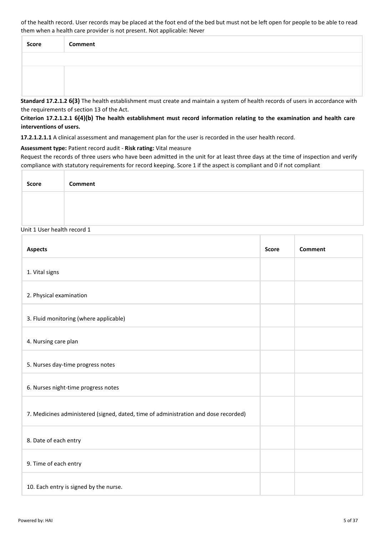of the health record. User records may be placed at the foot end of the bed but must not be left open for people to be able to read them when a health care provider is not present. Not applicable: Never

| Score | Comment |
|-------|---------|
|       |         |
|       |         |
|       |         |

**Standard 17.2.1.2 6(3)** The health establishment must create and maintain a system of health records of users in accordance with the requirements of section 13 of the Act.

**Criterion 17.2.1.2.1 6(4)(b) The health establishment must record information relating to the examination and health care interventions of users.**

**17.2.1.2.1.1** A clinical assessment and management plan for the user is recorded in the user health record.

**Assessment type:** Patient record audit - **Risk rating:** Vital measure

Request the records of three users who have been admitted in the unit for at least three days at the time of inspection and verify compliance with statutory requirements for record keeping. Score 1 if the aspect is compliant and 0 if not compliant

| <b>Score</b> | Comment |
|--------------|---------|
|              |         |
|              |         |

#### Unit 1 User health record 1

| <b>Aspects</b>                                                                      | <b>Score</b> | <b>Comment</b> |
|-------------------------------------------------------------------------------------|--------------|----------------|
| 1. Vital signs                                                                      |              |                |
| 2. Physical examination                                                             |              |                |
| 3. Fluid monitoring (where applicable)                                              |              |                |
| 4. Nursing care plan                                                                |              |                |
| 5. Nurses day-time progress notes                                                   |              |                |
| 6. Nurses night-time progress notes                                                 |              |                |
| 7. Medicines administered (signed, dated, time of administration and dose recorded) |              |                |
| 8. Date of each entry                                                               |              |                |
| 9. Time of each entry                                                               |              |                |
| 10. Each entry is signed by the nurse.                                              |              |                |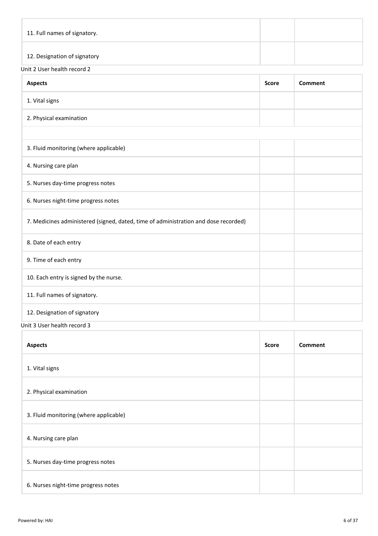| 11. Full names of signatory. |  |
|------------------------------|--|
| 12. Designation of signatory |  |

# Unit 2 User health record 2

| <b>Aspects</b>                                                                      | <b>Score</b> | Comment |
|-------------------------------------------------------------------------------------|--------------|---------|
| 1. Vital signs                                                                      |              |         |
| 2. Physical examination                                                             |              |         |
|                                                                                     |              |         |
| 3. Fluid monitoring (where applicable)                                              |              |         |
| 4. Nursing care plan                                                                |              |         |
| 5. Nurses day-time progress notes                                                   |              |         |
| 6. Nurses night-time progress notes                                                 |              |         |
| 7. Medicines administered (signed, dated, time of administration and dose recorded) |              |         |
| 8. Date of each entry                                                               |              |         |
| 9. Time of each entry                                                               |              |         |
| 10. Each entry is signed by the nurse.                                              |              |         |
| 11. Full names of signatory.                                                        |              |         |
| 12. Designation of signatory                                                        |              |         |

Unit 3 User health record 3

| <b>Aspects</b>                         | <b>Score</b> | Comment |
|----------------------------------------|--------------|---------|
| 1. Vital signs                         |              |         |
| 2. Physical examination                |              |         |
| 3. Fluid monitoring (where applicable) |              |         |
| 4. Nursing care plan                   |              |         |
| 5. Nurses day-time progress notes      |              |         |
| 6. Nurses night-time progress notes    |              |         |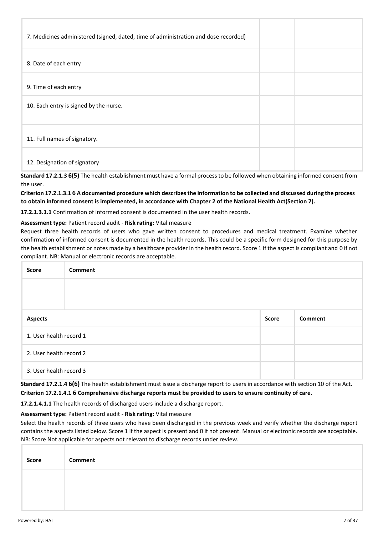| 7. Medicines administered (signed, dated, time of administration and dose recorded) |  |  |
|-------------------------------------------------------------------------------------|--|--|
| 8. Date of each entry                                                               |  |  |
| 9. Time of each entry                                                               |  |  |
| 10. Each entry is signed by the nurse.                                              |  |  |
| 11. Full names of signatory.                                                        |  |  |
| 12. Designation of signatory                                                        |  |  |

**Standard 17.2.1.3 6(5)** The health establishment must have a formal process to be followed when obtaining informed consent from the user.

**Criterion 17.2.1.3.1 6 A documented procedure which describes the information to be collected and discussed during the process to obtain informed consent is implemented, in accordance with Chapter 2 of the National Health Act(Section 7).**

**17.2.1.3.1.1** Confirmation of informed consent is documented in the user health records.

#### **Assessment type:** Patient record audit - **Risk rating:** Vital measure

Request three health records of users who gave written consent to procedures and medical treatment. Examine whether confirmation of informed consent is documented in the health records. This could be a specific form designed for this purpose by the health establishment or notes made by a healthcare provider in the health record. Score 1 if the aspect is compliant and 0 if not compliant. NB: Manual or electronic records are acceptable.

| <b>Score</b>            | <b>Comment</b> |              |         |
|-------------------------|----------------|--------------|---------|
|                         |                |              |         |
|                         |                |              |         |
| <b>Aspects</b>          |                | <b>Score</b> | Comment |
| 1. User health record 1 |                |              |         |
| 2. User health record 2 |                |              |         |
| 3. User health record 3 |                |              |         |

**Standard 17.2.1.4 6(6)** The health establishment must issue a discharge report to users in accordance with section 10 of the Act. **Criterion 17.2.1.4.1 6 Comprehensive discharge reports must be provided to users to ensure continuity of care.**

**17.2.1.4.1.1** The health records of discharged users include a discharge report.

**Assessment type:** Patient record audit - **Risk rating:** Vital measure

Select the health records of three users who have been discharged in the previous week and verify whether the discharge report contains the aspects listed below. Score 1 if the aspect is present and 0 if not present. Manual or electronic records are acceptable. NB: Score Not applicable for aspects not relevant to discharge records under review.

| Score | Comment |
|-------|---------|
|       |         |
|       |         |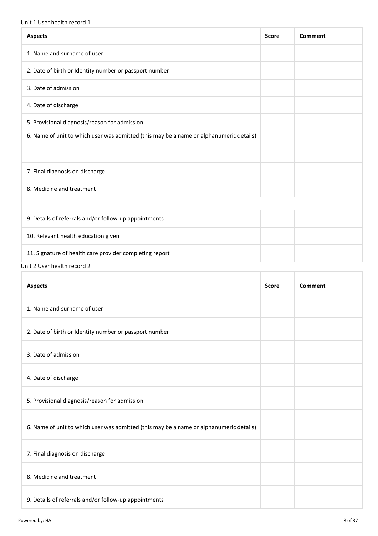#### Unit 1 User health record 1

| <b>Aspects</b>                                                                          | <b>Score</b> | Comment |
|-----------------------------------------------------------------------------------------|--------------|---------|
| 1. Name and surname of user                                                             |              |         |
| 2. Date of birth or Identity number or passport number                                  |              |         |
| 3. Date of admission                                                                    |              |         |
| 4. Date of discharge                                                                    |              |         |
| 5. Provisional diagnosis/reason for admission                                           |              |         |
| 6. Name of unit to which user was admitted (this may be a name or alphanumeric details) |              |         |
| 7. Final diagnosis on discharge                                                         |              |         |
| 8. Medicine and treatment                                                               |              |         |
|                                                                                         |              |         |
| 9. Details of referrals and/or follow-up appointments                                   |              |         |
| 10. Relevant health education given                                                     |              |         |
| 11. Signature of health care provider completing report                                 |              |         |

Unit 2 User health record 2

| <b>Aspects</b>                                                                          | <b>Score</b> | Comment |
|-----------------------------------------------------------------------------------------|--------------|---------|
| 1. Name and surname of user                                                             |              |         |
| 2. Date of birth or Identity number or passport number                                  |              |         |
| 3. Date of admission                                                                    |              |         |
| 4. Date of discharge                                                                    |              |         |
| 5. Provisional diagnosis/reason for admission                                           |              |         |
| 6. Name of unit to which user was admitted (this may be a name or alphanumeric details) |              |         |
| 7. Final diagnosis on discharge                                                         |              |         |
| 8. Medicine and treatment                                                               |              |         |
| 9. Details of referrals and/or follow-up appointments                                   |              |         |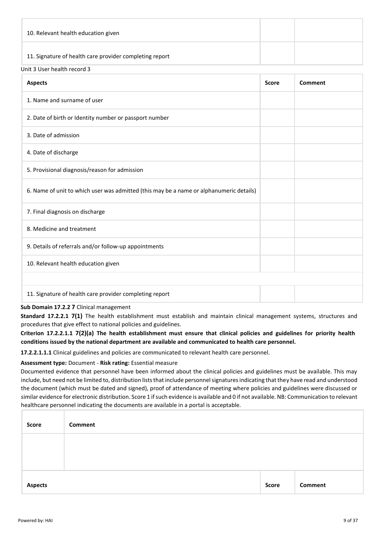| 10. Relevant health education given                     |  |
|---------------------------------------------------------|--|
| 11. Signature of health care provider completing report |  |

#### Unit 3 User health record 3

| <b>Aspects</b>                                                                          | <b>Score</b> | Comment |
|-----------------------------------------------------------------------------------------|--------------|---------|
| 1. Name and surname of user                                                             |              |         |
| 2. Date of birth or Identity number or passport number                                  |              |         |
| 3. Date of admission                                                                    |              |         |
| 4. Date of discharge                                                                    |              |         |
| 5. Provisional diagnosis/reason for admission                                           |              |         |
| 6. Name of unit to which user was admitted (this may be a name or alphanumeric details) |              |         |
| 7. Final diagnosis on discharge                                                         |              |         |
| 8. Medicine and treatment                                                               |              |         |
| 9. Details of referrals and/or follow-up appointments                                   |              |         |
| 10. Relevant health education given                                                     |              |         |
|                                                                                         |              |         |
| 11. Signature of health care provider completing report                                 |              |         |

#### **Sub Domain 17.2.2 7** Clinical management

**Standard 17.2.2.1 7(1)** The health establishment must establish and maintain clinical management systems, structures and procedures that give effect to national policies and guidelines.

**Criterion 17.2.2.1.1 7(2)(a) The health establishment must ensure that clinical policies and guidelines for priority health conditions issued by the national department are available and communicated to health care personnel.**

**17.2.2.1.1.1** Clinical guidelines and policies are communicated to relevant health care personnel.

# **Assessment type:** Document - **Risk rating:** Essential measure

Documented evidence that personnel have been informed about the clinical policies and guidelines must be available. This may include, but need not be limited to, distribution lists that include personnel signatures indicating that they have read and understood the document (which must be dated and signed), proof of attendance of meeting where policies and guidelines were discussed or similar evidence for electronic distribution. Score 1 if such evidence is available and 0 if not available. NB: Communication to relevant healthcare personnel indicating the documents are available in a portal is acceptable.

| Score          | Comment |              |         |
|----------------|---------|--------------|---------|
|                |         |              |         |
|                |         |              |         |
| <b>Aspects</b> |         | <b>Score</b> | Comment |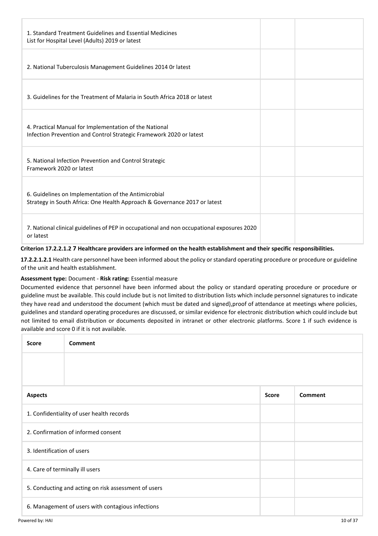| 1. Standard Treatment Guidelines and Essential Medicines<br>List for Hospital Level (Adults) 2019 or latest                       |  |
|-----------------------------------------------------------------------------------------------------------------------------------|--|
| 2. National Tuberculosis Management Guidelines 2014 Or latest                                                                     |  |
| 3. Guidelines for the Treatment of Malaria in South Africa 2018 or latest                                                         |  |
| 4. Practical Manual for Implementation of the National<br>Infection Prevention and Control Strategic Framework 2020 or latest     |  |
| 5. National Infection Prevention and Control Strategic<br>Framework 2020 or latest                                                |  |
| 6. Guidelines on Implementation of the Antimicrobial<br>Strategy in South Africa: One Health Approach & Governance 2017 or latest |  |
| 7. National clinical guidelines of PEP in occupational and non occupational exposures 2020<br>or latest                           |  |

#### **Criterion 17.2.2.1.2 7 Healthcare providers are informed on the health establishment and their specific responsibilities.**

**17.2.2.1.2.1** Health care personnel have been informed about the policy or standard operating procedure or procedure or guideline of the unit and health establishment.

#### **Assessment type:** Document - **Risk rating:** Essential measure

Documented evidence that personnel have been informed about the policy or standard operating procedure or procedure or guideline must be available. This could include but is not limited to distribution lists which include personnel signatures to indicate they have read and understood the document (which must be dated and signed),proof of attendance at meetings where policies, guidelines and standard operating procedures are discussed, or similar evidence for electronic distribution which could include but not limited to email distribution or documents deposited in intranet or other electronic platforms. Score 1 if such evidence is available and score 0 if it is not available.

| <b>Score</b>                                         | <b>Comment</b>                                    |              |                |  |
|------------------------------------------------------|---------------------------------------------------|--------------|----------------|--|
|                                                      |                                                   |              |                |  |
| <b>Aspects</b>                                       |                                                   | <b>Score</b> | <b>Comment</b> |  |
| 1. Confidentiality of user health records            |                                                   |              |                |  |
| 2. Confirmation of informed consent                  |                                                   |              |                |  |
| 3. Identification of users                           |                                                   |              |                |  |
| 4. Care of terminally ill users                      |                                                   |              |                |  |
| 5. Conducting and acting on risk assessment of users |                                                   |              |                |  |
|                                                      | 6. Management of users with contagious infections |              |                |  |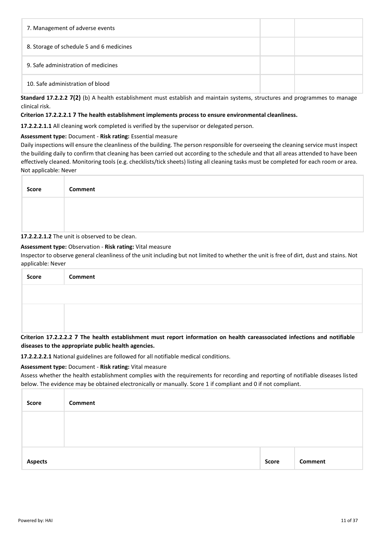| 7. Management of adverse events          |  |
|------------------------------------------|--|
| 8. Storage of schedule 5 and 6 medicines |  |
| 9. Safe administration of medicines      |  |
| 10. Safe administration of blood         |  |

**Standard 17.2.2.2 7(2)** (b) A health establishment must establish and maintain systems, structures and programmes to manage clinical risk.

#### **Criterion 17.2.2.2.1 7 The health establishment implements process to ensure environmental cleanliness.**

**17.2.2.2.1.1** All cleaning work completed is verified by the supervisor or delegated person.

#### **Assessment type:** Document - **Risk rating:** Essential measure

Daily inspections will ensure the cleanliness of the building. The person responsible for overseeing the cleaning service must inspect the building daily to confirm that cleaning has been carried out according to the schedule and that all areas attended to have been effectively cleaned. Monitoring tools (e.g. checklists/tick sheets) listing all cleaning tasks must be completed for each room or area. Not applicable: Never

| Score | <b>Comment</b> |
|-------|----------------|
|       |                |
|       |                |

# **17.2.2.2.1.2** The unit is observed to be clean.

# **Assessment type:** Observation - **Risk rating:** Vital measure

Inspector to observe general cleanliness of the unit including but not limited to whether the unit is free of dirt, dust and stains. Not applicable: Never

| <b>Score</b> | <b>Comment</b>                                                                                                             |
|--------------|----------------------------------------------------------------------------------------------------------------------------|
|              |                                                                                                                            |
|              |                                                                                                                            |
|              |                                                                                                                            |
|              | Criterion 17.2.2.2.2 7 The health establishment must report information on health careassociated infections and notifiable |

# **diseases to the appropriate public health agencies.**

**17.2.2.2.2.1** National guidelines are followed for all notifiable medical conditions.

#### **Assessment type:** Document - **Risk rating:** Vital measure

Assess whether the health establishment complies with the requirements for recording and reporting of notifiable diseases listed below. The evidence may be obtained electronically or manually. Score 1 if compliant and 0 if not compliant.

| Score          | Comment |              |         |
|----------------|---------|--------------|---------|
|                |         |              |         |
|                |         |              |         |
| <b>Aspects</b> |         | <b>Score</b> | Comment |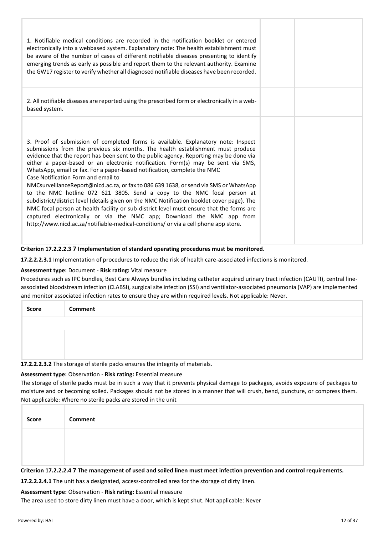| 1. Notifiable medical conditions are recorded in the notification booklet or entered<br>electronically into a webbased system. Explanatory note: The health establishment must<br>be aware of the number of cases of different notifiable diseases presenting to identify<br>emerging trends as early as possible and report them to the relevant authority. Examine<br>the GW17 register to verify whether all diagnosed notifiable diseases have been recorded.                                                                                                                                                                                                                                                                                                                                                                                                                                                                                                                                   |  |
|-----------------------------------------------------------------------------------------------------------------------------------------------------------------------------------------------------------------------------------------------------------------------------------------------------------------------------------------------------------------------------------------------------------------------------------------------------------------------------------------------------------------------------------------------------------------------------------------------------------------------------------------------------------------------------------------------------------------------------------------------------------------------------------------------------------------------------------------------------------------------------------------------------------------------------------------------------------------------------------------------------|--|
| 2. All notifiable diseases are reported using the prescribed form or electronically in a web-<br>based system.                                                                                                                                                                                                                                                                                                                                                                                                                                                                                                                                                                                                                                                                                                                                                                                                                                                                                      |  |
| 3. Proof of submission of completed forms is available. Explanatory note: Inspect<br>submissions from the previous six months. The health establishment must produce<br>evidence that the report has been sent to the public agency. Reporting may be done via<br>either a paper-based or an electronic notification. Form(s) may be sent via SMS,<br>WhatsApp, email or fax. For a paper-based notification, complete the NMC<br>Case Notification Form and email to<br>NMCsurveillanceReport@nicd.ac.za, or fax to 086 639 1638, or send via SMS or WhatsApp<br>to the NMC hotline 072 621 3805. Send a copy to the NMC focal person at<br>subdistrict/district level (details given on the NMC Notification booklet cover page). The<br>NMC focal person at health facility or sub-district level must ensure that the forms are<br>captured electronically or via the NMC app; Download the NMC app from<br>http://www.nicd.ac.za/notifiable-medical-conditions/ or via a cell phone app store. |  |

#### **Criterion 17.2.2.2.3 7 Implementation of standard operating procedures must be monitored.**

**17.2.2.2.3.1** Implementation of procedures to reduce the risk of health care-associated infections is monitored.

#### **Assessment type:** Document - **Risk rating:** Vital measure

Procedures such as IPC bundles, Best Care Always bundles including catheter acquired urinary tract infection (CAUTI), central lineassociated bloodstream infection (CLABSI), surgical site infection (SSI) and ventilator-associated pneumonia (VAP) are implemented and monitor associated infection rates to ensure they are within required levels. Not applicable: Never.

| Score | Comment |
|-------|---------|
|       |         |
|       |         |
|       |         |

**17.2.2.2.3.2** The storage of sterile packs ensures the integrity of materials.

#### **Assessment type:** Observation - **Risk rating:** Essential measure

The storage of sterile packs must be in such a way that it prevents physical damage to packages, avoids exposure of packages to moisture and or becoming soiled. Packages should not be stored in a manner that will crush, bend, puncture, or compress them. Not applicable: Where no sterile packs are stored in the unit

| Score | Comment |
|-------|---------|
|       |         |
|       |         |

**Criterion 17.2.2.2.4 7 The management of used and soiled linen must meet infection prevention and control requirements.**

**17.2.2.2.4.1** The unit has a designated, access-controlled area for the storage of dirty linen.

#### **Assessment type:** Observation - **Risk rating:** Essential measure

The area used to store dirty linen must have a door, which is kept shut. Not applicable: Never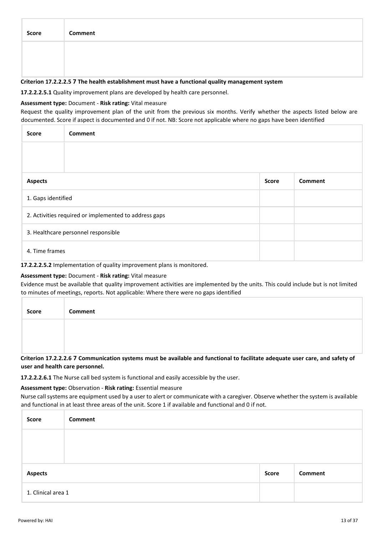| Score | Comment |
|-------|---------|
|       |         |
|       |         |

#### **Criterion 17.2.2.2.5 7 The health establishment must have a functional quality management system**

**17.2.2.2.5.1** Quality improvement plans are developed by health care personnel.

#### **Assessment type:** Document - **Risk rating:** Vital measure

Request the quality improvement plan of the unit from the previous six months. Verify whether the aspects listed below are documented. Score if aspect is documented and 0 if not. NB: Score not applicable where no gaps have been identified

| <b>Score</b>                        | <b>Comment</b>                                        |  |  |
|-------------------------------------|-------------------------------------------------------|--|--|
|                                     |                                                       |  |  |
|                                     |                                                       |  |  |
| <b>Aspects</b>                      | <b>Score</b><br>Comment                               |  |  |
| 1. Gaps identified                  |                                                       |  |  |
|                                     | 2. Activities required or implemented to address gaps |  |  |
| 3. Healthcare personnel responsible |                                                       |  |  |
|                                     | 4. Time frames                                        |  |  |

**17.2.2.2.5.2** Implementation of quality improvement plans is monitored.

#### **Assessment type:** Document - **Risk rating:** Vital measure

Evidence must be available that quality improvement activities are implemented by the units. This could include but is not limited to minutes of meetings, reports. Not applicable: Where there were no gaps identified

| Score | Comment |
|-------|---------|
|       |         |
|       |         |

**Criterion 17.2.2.2.6 7 Communication systems must be available and functional to facilitate adequate user care, and safety of user and health care personnel.**

**17.2.2.2.6.1** The Nurse call bed system is functional and easily accessible by the user.

#### **Assessment type:** Observation - **Risk rating:** Essential measure

Nurse call systems are equipment used by a user to alert or communicate with a caregiver. Observe whether the system is available and functional in at least three areas of the unit. Score 1 if available and functional and 0 if not.

| Score              | Comment |              |         |
|--------------------|---------|--------------|---------|
|                    |         |              |         |
|                    |         |              |         |
| <b>Aspects</b>     |         | <b>Score</b> | Comment |
| 1. Clinical area 1 |         |              |         |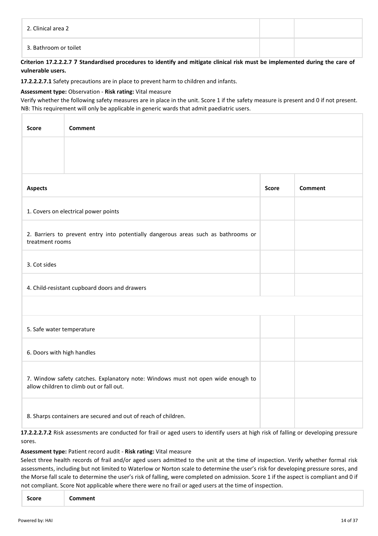| 2. Clinical area 2    |  |
|-----------------------|--|
| 3. Bathroom or toilet |  |

#### **Criterion 17.2.2.2.7 7 Standardised procedures to identify and mitigate clinical risk must be implemented during the care of vulnerable users.**

**17.2.2.2.7.1** Safety precautions are in place to prevent harm to children and infants.

#### **Assessment type:** Observation - **Risk rating:** Vital measure

Verify whether the following safety measures are in place in the unit. Score 1 if the safety measure is present and 0 if not present. NB: This requirement will only be applicable in generic wards that admit paediatric users.

| <b>Score</b>                                                                                                                 | Comment                                                                                                                              |  |  |  |  |
|------------------------------------------------------------------------------------------------------------------------------|--------------------------------------------------------------------------------------------------------------------------------------|--|--|--|--|
|                                                                                                                              |                                                                                                                                      |  |  |  |  |
| <b>Aspects</b>                                                                                                               | <b>Comment</b><br><b>Score</b>                                                                                                       |  |  |  |  |
| 1. Covers on electrical power points                                                                                         |                                                                                                                                      |  |  |  |  |
|                                                                                                                              | 2. Barriers to prevent entry into potentially dangerous areas such as bathrooms or<br>treatment rooms                                |  |  |  |  |
| 3. Cot sides                                                                                                                 |                                                                                                                                      |  |  |  |  |
| 4. Child-resistant cupboard doors and drawers                                                                                |                                                                                                                                      |  |  |  |  |
|                                                                                                                              |                                                                                                                                      |  |  |  |  |
| 5. Safe water temperature                                                                                                    |                                                                                                                                      |  |  |  |  |
|                                                                                                                              | 6. Doors with high handles                                                                                                           |  |  |  |  |
| 7. Window safety catches. Explanatory note: Windows must not open wide enough to<br>allow children to climb out or fall out. |                                                                                                                                      |  |  |  |  |
| 8. Sharps containers are secured and out of reach of children.                                                               |                                                                                                                                      |  |  |  |  |
|                                                                                                                              | 17.2.2.2.7.2 Risk assessments are conducted for frail or aged users to identify users at high risk of falling or developing pressure |  |  |  |  |

sores.

# **Assessment type:** Patient record audit - **Risk rating:** Vital measure

Select three health records of frail and/or aged users admitted to the unit at the time of inspection. Verify whether formal risk assessments, including but not limited to Waterlow or Norton scale to determine the user's risk for developing pressure sores, and the Morse fall scale to determine the user's risk of falling, were completed on admission. Score 1 if the aspect is compliant and 0 if not compliant. Score Not applicable where there were no frail or aged users at the time of inspection.

| Score<br>Comment |
|------------------|
|------------------|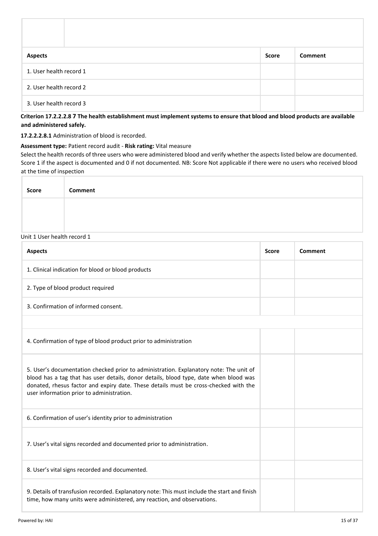| <b>Aspects</b>          | <b>Score</b> | Comment |
|-------------------------|--------------|---------|
| 1. User health record 1 |              |         |
| 2. User health record 2 |              |         |
| 3. User health record 3 |              |         |

**Criterion 17.2.2.2.8 7 The health establishment must implement systems to ensure that blood and blood products are available and administered safely.**

**17.2.2.2.8.1** Administration of blood is recorded.

**Assessment type:** Patient record audit - **Risk rating:** Vital measure

Select the health records of three users who were administered blood and verify whether the aspects listed below are documented. Score 1 if the aspect is documented and 0 if not documented. NB: Score Not applicable if there were no users who received blood at the time of inspection

| <b>Score</b> | Comment |
|--------------|---------|
|              |         |
|              |         |

# Unit 1 User health record 1

| <b>Aspects</b>                                                                                                                                                                                                                                                                                                       | <b>Score</b> | Comment |
|----------------------------------------------------------------------------------------------------------------------------------------------------------------------------------------------------------------------------------------------------------------------------------------------------------------------|--------------|---------|
| 1. Clinical indication for blood or blood products                                                                                                                                                                                                                                                                   |              |         |
| 2. Type of blood product required                                                                                                                                                                                                                                                                                    |              |         |
| 3. Confirmation of informed consent.                                                                                                                                                                                                                                                                                 |              |         |
|                                                                                                                                                                                                                                                                                                                      |              |         |
| 4. Confirmation of type of blood product prior to administration                                                                                                                                                                                                                                                     |              |         |
| 5. User's documentation checked prior to administration. Explanatory note: The unit of<br>blood has a tag that has user details, donor details, blood type, date when blood was<br>donated, rhesus factor and expiry date. These details must be cross-checked with the<br>user information prior to administration. |              |         |
| 6. Confirmation of user's identity prior to administration                                                                                                                                                                                                                                                           |              |         |
| 7. User's vital signs recorded and documented prior to administration.                                                                                                                                                                                                                                               |              |         |
| 8. User's vital signs recorded and documented.                                                                                                                                                                                                                                                                       |              |         |
| 9. Details of transfusion recorded. Explanatory note: This must include the start and finish<br>time, how many units were administered, any reaction, and observations.                                                                                                                                              |              |         |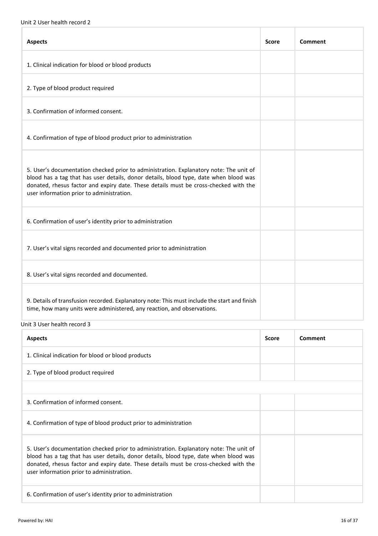| <b>Aspects</b>                                                                                                                                                                                                                                                                                                       | <b>Score</b> | Comment |
|----------------------------------------------------------------------------------------------------------------------------------------------------------------------------------------------------------------------------------------------------------------------------------------------------------------------|--------------|---------|
| 1. Clinical indication for blood or blood products                                                                                                                                                                                                                                                                   |              |         |
| 2. Type of blood product required                                                                                                                                                                                                                                                                                    |              |         |
| 3. Confirmation of informed consent.                                                                                                                                                                                                                                                                                 |              |         |
| 4. Confirmation of type of blood product prior to administration                                                                                                                                                                                                                                                     |              |         |
| 5. User's documentation checked prior to administration. Explanatory note: The unit of<br>blood has a tag that has user details, donor details, blood type, date when blood was<br>donated, rhesus factor and expiry date. These details must be cross-checked with the<br>user information prior to administration. |              |         |
| 6. Confirmation of user's identity prior to administration                                                                                                                                                                                                                                                           |              |         |
| 7. User's vital signs recorded and documented prior to administration                                                                                                                                                                                                                                                |              |         |
| 8. User's vital signs recorded and documented.                                                                                                                                                                                                                                                                       |              |         |
| 9. Details of transfusion recorded. Explanatory note: This must include the start and finish<br>time, how many units were administered, any reaction, and observations.                                                                                                                                              |              |         |

# Unit 3 User health record 3

| <b>Aspects</b>                                                                                                                                                                                                                                                                                                       | <b>Score</b> | Comment |
|----------------------------------------------------------------------------------------------------------------------------------------------------------------------------------------------------------------------------------------------------------------------------------------------------------------------|--------------|---------|
| 1. Clinical indication for blood or blood products                                                                                                                                                                                                                                                                   |              |         |
| 2. Type of blood product required                                                                                                                                                                                                                                                                                    |              |         |
|                                                                                                                                                                                                                                                                                                                      |              |         |
| 3. Confirmation of informed consent.                                                                                                                                                                                                                                                                                 |              |         |
| 4. Confirmation of type of blood product prior to administration                                                                                                                                                                                                                                                     |              |         |
| 5. User's documentation checked prior to administration. Explanatory note: The unit of<br>blood has a tag that has user details, donor details, blood type, date when blood was<br>donated, rhesus factor and expiry date. These details must be cross-checked with the<br>user information prior to administration. |              |         |
| 6. Confirmation of user's identity prior to administration                                                                                                                                                                                                                                                           |              |         |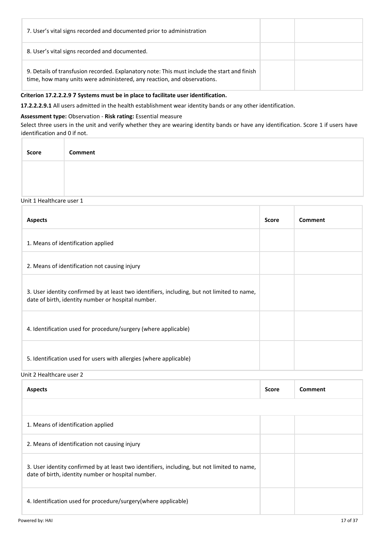| 7. User's vital signs recorded and documented prior to administration                                                                                                   |  |
|-------------------------------------------------------------------------------------------------------------------------------------------------------------------------|--|
| 8. User's vital signs recorded and documented.                                                                                                                          |  |
| 9. Details of transfusion recorded. Explanatory note: This must include the start and finish<br>time, how many units were administered, any reaction, and observations. |  |

#### **Criterion 17.2.2.2.9 7 Systems must be in place to facilitate user identification.**

**17.2.2.2.9.1** All users admitted in the health establishment wear identity bands or any other identification.

# **Assessment type:** Observation - **Risk rating:** Essential measure

Select three users in the unit and verify whether they are wearing identity bands or have any identification. Score 1 if users have identification and 0 if not.

| Score | Comment |  |  |  |  |
|-------|---------|--|--|--|--|
|       |         |  |  |  |  |
|       |         |  |  |  |  |

#### Unit 1 Healthcare user 1

| <b>Aspects</b>                                                                                                                                    | <b>Score</b> | Comment |
|---------------------------------------------------------------------------------------------------------------------------------------------------|--------------|---------|
| 1. Means of identification applied                                                                                                                |              |         |
| 2. Means of identification not causing injury                                                                                                     |              |         |
| 3. User identity confirmed by at least two identifiers, including, but not limited to name,<br>date of birth, identity number or hospital number. |              |         |
| 4. Identification used for procedure/surgery (where applicable)                                                                                   |              |         |
| 5. Identification used for users with allergies (where applicable)                                                                                |              |         |

# Unit 2 Healthcare user 2

| <b>Aspects</b>                                                                                                                                    | <b>Score</b> | Comment |
|---------------------------------------------------------------------------------------------------------------------------------------------------|--------------|---------|
|                                                                                                                                                   |              |         |
| 1. Means of identification applied                                                                                                                |              |         |
| 2. Means of identification not causing injury                                                                                                     |              |         |
| 3. User identity confirmed by at least two identifiers, including, but not limited to name,<br>date of birth, identity number or hospital number. |              |         |
| 4. Identification used for procedure/surgery(where applicable)                                                                                    |              |         |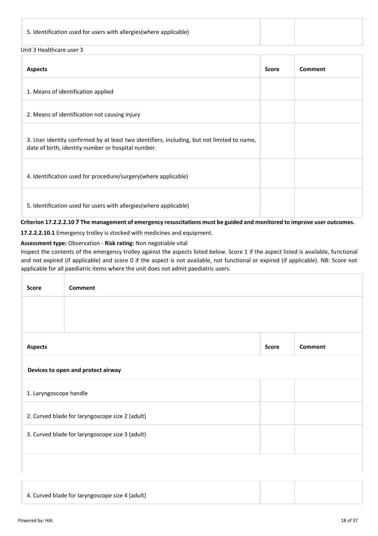# Unit 3 Healthcare user 3

| <b>Aspects</b>                                                                                                                                    | <b>Score</b> | Comment |
|---------------------------------------------------------------------------------------------------------------------------------------------------|--------------|---------|
| 1. Means of identification applied                                                                                                                |              |         |
| 2. Means of identification not causing injury                                                                                                     |              |         |
| 3. User identity confirmed by at least two identifiers, including, but not limited to name,<br>date of birth, identity number or hospital number. |              |         |
| 4. Identification used for procedure/surgery(where applicable)                                                                                    |              |         |
| 5. Identification used for users with allergies (where applicable)                                                                                |              |         |

**Criterion 17.2.2.2.10 7 The management of emergency resuscitations must be guided and monitored to improve user outcomes.**

**17.2.2.2.10.1** Emergency trolley is stocked with medicines and equipment.

# **Assessment type:** Observation - **Risk rating:** Non negotiable vital

Inspect the contents of the emergency trolley against the aspects listed below. Score 1 if the aspect listed is available, functional and not expired (if applicable) and score 0 if the aspect is not available, not functional or expired (if applicable). NB: Score not applicable for all paediatric items where the unit does not admit paediatric users.

| Score                                           | <b>Comment</b>                                  |              |                |  |
|-------------------------------------------------|-------------------------------------------------|--------------|----------------|--|
|                                                 |                                                 |              |                |  |
|                                                 |                                                 |              |                |  |
| <b>Aspects</b>                                  |                                                 | <b>Score</b> | <b>Comment</b> |  |
|                                                 | Devices to open and protect airway              |              |                |  |
| 1. Laryngoscope handle                          |                                                 |              |                |  |
| 2. Curved blade for laryngoscope size 2 (adult) |                                                 |              |                |  |
|                                                 | 3. Curved blade for laryngoscope size 3 (adult) |              |                |  |
|                                                 |                                                 |              |                |  |
|                                                 |                                                 |              |                |  |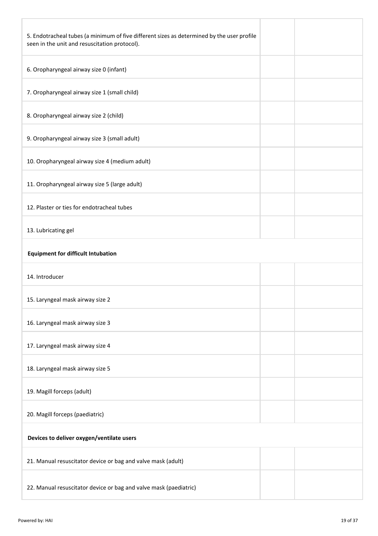| 5. Endotracheal tubes (a minimum of five different sizes as determined by the user profile<br>seen in the unit and resuscitation protocol). |  |
|---------------------------------------------------------------------------------------------------------------------------------------------|--|
| 6. Oropharyngeal airway size 0 (infant)                                                                                                     |  |
| 7. Oropharyngeal airway size 1 (small child)                                                                                                |  |
| 8. Oropharyngeal airway size 2 (child)                                                                                                      |  |
| 9. Oropharyngeal airway size 3 (small adult)                                                                                                |  |
| 10. Oropharyngeal airway size 4 (medium adult)                                                                                              |  |
| 11. Oropharyngeal airway size 5 (large adult)                                                                                               |  |
| 12. Plaster or ties for endotracheal tubes                                                                                                  |  |
| 13. Lubricating gel                                                                                                                         |  |
| <b>Equipment for difficult Intubation</b>                                                                                                   |  |
| 14. Introducer                                                                                                                              |  |
| 15. Laryngeal mask airway size 2                                                                                                            |  |
| 16. Laryngeal mask airway size 3                                                                                                            |  |
| 17. Laryngeal mask airway size 4                                                                                                            |  |
| 18. Laryngeal mask airway size 5                                                                                                            |  |
| 19. Magill forceps (adult)                                                                                                                  |  |
| 20. Magill forceps (paediatric)                                                                                                             |  |
| Devices to deliver oxygen/ventilate users                                                                                                   |  |
| 21. Manual resuscitator device or bag and valve mask (adult)                                                                                |  |
| 22. Manual resuscitator device or bag and valve mask (paediatric)                                                                           |  |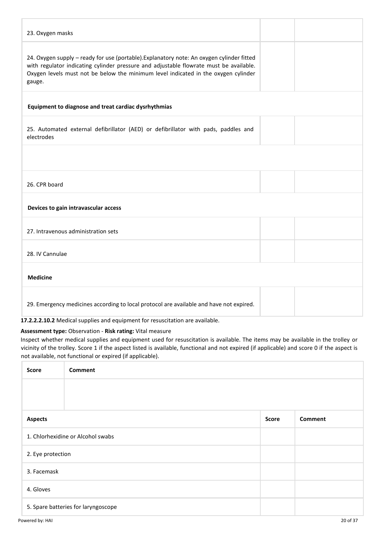| 23. Oxygen masks                                                                                                                                                                                                                                                                    |  |
|-------------------------------------------------------------------------------------------------------------------------------------------------------------------------------------------------------------------------------------------------------------------------------------|--|
| 24. Oxygen supply - ready for use (portable). Explanatory note: An oxygen cylinder fitted<br>with regulator indicating cylinder pressure and adjustable flowrate must be available.<br>Oxygen levels must not be below the minimum level indicated in the oxygen cylinder<br>gauge. |  |
| Equipment to diagnose and treat cardiac dysrhythmias                                                                                                                                                                                                                                |  |
| 25. Automated external defibrillator (AED) or defibrillator with pads, paddles and<br>electrodes                                                                                                                                                                                    |  |
|                                                                                                                                                                                                                                                                                     |  |
| 26. CPR board                                                                                                                                                                                                                                                                       |  |
| Devices to gain intravascular access                                                                                                                                                                                                                                                |  |
| 27. Intravenous administration sets                                                                                                                                                                                                                                                 |  |
| 28. IV Cannulae                                                                                                                                                                                                                                                                     |  |
| <b>Medicine</b>                                                                                                                                                                                                                                                                     |  |
| 29. Emergency medicines according to local protocol are available and have not expired.                                                                                                                                                                                             |  |

**17.2.2.2.10.2** Medical supplies and equipment for resuscitation are available.

# **Assessment type:** Observation - **Risk rating:** Vital measure

Inspect whether medical supplies and equipment used for resuscitation is available. The items may be available in the trolley or vicinity of the trolley. Score 1 if the aspect listed is available, functional and not expired (if applicable) and score 0 if the aspect is not available, not functional or expired (if applicable).

| <b>Score</b>      | <b>Comment</b>                      |              |                |  |  |
|-------------------|-------------------------------------|--------------|----------------|--|--|
|                   |                                     |              |                |  |  |
|                   |                                     |              |                |  |  |
| <b>Aspects</b>    |                                     | <b>Score</b> | <b>Comment</b> |  |  |
|                   | 1. Chlorhexidine or Alcohol swabs   |              |                |  |  |
| 2. Eye protection |                                     |              |                |  |  |
| 3. Facemask       |                                     |              |                |  |  |
| 4. Gloves         |                                     |              |                |  |  |
|                   | 5. Spare batteries for laryngoscope |              |                |  |  |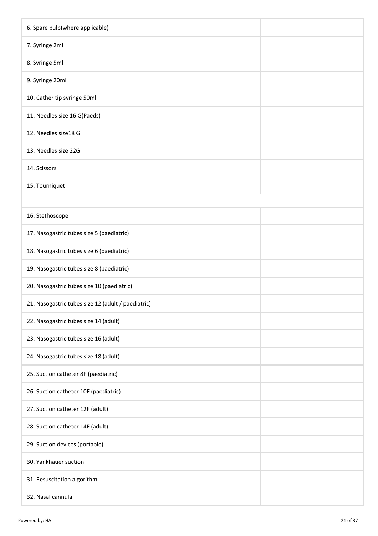| 6. Spare bulb(where applicable)                    |  |  |
|----------------------------------------------------|--|--|
| 7. Syringe 2ml                                     |  |  |
| 8. Syringe 5ml                                     |  |  |
| 9. Syringe 20ml                                    |  |  |
| 10. Cather tip syringe 50ml                        |  |  |
| 11. Needles size 16 G(Paeds)                       |  |  |
| 12. Needles size18 G                               |  |  |
| 13. Needles size 22G                               |  |  |
| 14. Scissors                                       |  |  |
| 15. Tourniquet                                     |  |  |
|                                                    |  |  |
| 16. Stethoscope                                    |  |  |
| 17. Nasogastric tubes size 5 (paediatric)          |  |  |
| 18. Nasogastric tubes size 6 (paediatric)          |  |  |
| 19. Nasogastric tubes size 8 (paediatric)          |  |  |
| 20. Nasogastric tubes size 10 (paediatric)         |  |  |
| 21. Nasogastric tubes size 12 (adult / paediatric) |  |  |
| 22. Nasogastric tubes size 14 (adult)              |  |  |
| 23. Nasogastric tubes size 16 (adult)              |  |  |
| 24. Nasogastric tubes size 18 (adult)              |  |  |
| 25. Suction catheter 8F (paediatric)               |  |  |
| 26. Suction catheter 10F (paediatric)              |  |  |
| 27. Suction catheter 12F (adult)                   |  |  |
| 28. Suction catheter 14F (adult)                   |  |  |
| 29. Suction devices (portable)                     |  |  |
| 30. Yankhauer suction                              |  |  |
| 31. Resuscitation algorithm                        |  |  |
| 32. Nasal cannula                                  |  |  |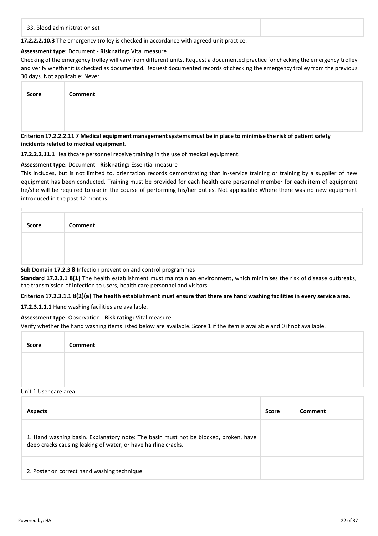**17.2.2.2.10.3** The emergency trolley is checked in accordance with agreed unit practice.

#### **Assessment type:** Document - **Risk rating:** Vital measure

Checking of the emergency trolley will vary from different units. Request a documented practice for checking the emergency trolley and verify whether it is checked as documented. Request documented records of checking the emergency trolley from the previous 30 days. Not applicable: Never

| Score | Comment |
|-------|---------|
|       |         |
|       |         |

#### **Criterion 17.2.2.2.11 7 Medical equipment management systems must be in place to minimise the risk of patient safety incidents related to medical equipment.**

**17.2.2.2.11.1** Healthcare personnel receive training in the use of medical equipment.

# **Assessment type:** Document - **Risk rating:** Essential measure

This includes, but is not limited to, orientation records demonstrating that in-service training or training by a supplier of new equipment has been conducted. Training must be provided for each health care personnel member for each item of equipment he/she will be required to use in the course of performing his/her duties. Not applicable: Where there was no new equipment introduced in the past 12 months.

| Score | <b>Comment</b> |
|-------|----------------|
|       |                |
|       |                |

#### **Sub Domain 17.2.3 8** Infection prevention and control programmes

**Standard 17.2.3.1 8(1)** The health establishment must maintain an environment, which minimises the risk of disease outbreaks, the transmission of infection to users, health care personnel and visitors.

# **Criterion 17.2.3.1.1 8(2)(a) The health establishment must ensure that there are hand washing facilities in every service area.**

**17.2.3.1.1.1** Hand washing facilities are available.

# **Assessment type:** Observation - **Risk rating:** Vital measure

Verify whether the hand washing items listed below are available. Score 1 if the item is available and 0 if not available.

| <b>Score</b> | Comment |
|--------------|---------|
|              |         |
|              |         |

# Unit 1 User care area

| <b>Aspects</b>                                                                                                                                         | <b>Score</b> | Comment |
|--------------------------------------------------------------------------------------------------------------------------------------------------------|--------------|---------|
| 1. Hand washing basin. Explanatory note: The basin must not be blocked, broken, have<br>deep cracks causing leaking of water, or have hairline cracks. |              |         |
| 2. Poster on correct hand washing technique                                                                                                            |              |         |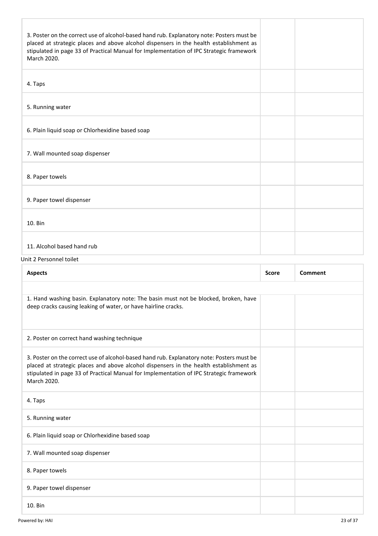| 3. Poster on the correct use of alcohol-based hand rub. Explanatory note: Posters must be<br>placed at strategic places and above alcohol dispensers in the health establishment as<br>stipulated in page 33 of Practical Manual for Implementation of IPC Strategic framework<br>March 2020. |              |                |
|-----------------------------------------------------------------------------------------------------------------------------------------------------------------------------------------------------------------------------------------------------------------------------------------------|--------------|----------------|
| 4. Taps                                                                                                                                                                                                                                                                                       |              |                |
| 5. Running water                                                                                                                                                                                                                                                                              |              |                |
| 6. Plain liquid soap or Chlorhexidine based soap                                                                                                                                                                                                                                              |              |                |
| 7. Wall mounted soap dispenser                                                                                                                                                                                                                                                                |              |                |
| 8. Paper towels                                                                                                                                                                                                                                                                               |              |                |
| 9. Paper towel dispenser                                                                                                                                                                                                                                                                      |              |                |
| 10. Bin                                                                                                                                                                                                                                                                                       |              |                |
| 11. Alcohol based hand rub                                                                                                                                                                                                                                                                    |              |                |
| Unit 2 Personnel toilet                                                                                                                                                                                                                                                                       |              |                |
| <b>Aspects</b>                                                                                                                                                                                                                                                                                | <b>Score</b> | <b>Comment</b> |
|                                                                                                                                                                                                                                                                                               |              |                |
| 1. Hand washing basin. Explanatory note: The basin must not be blocked, broken, have<br>deep cracks causing leaking of water, or have hairline cracks.                                                                                                                                        |              |                |
| 2. Poster on correct hand washing technique                                                                                                                                                                                                                                                   |              |                |

3. Poster on the correct use of alcohol-based hand rub. Explanatory note: Posters must be placed at strategic places and above alcohol dispensers in the health establishment as stipulated in page 33 of Practical Manual for Implementation of IPC Strategic framework March 2020. 4. Taps

5. Running water 6. Plain liquid soap or Chlorhexidine based soap 7. Wall mounted soap dispenser 8. Paper towels 9. Paper towel dispenser

10. Bin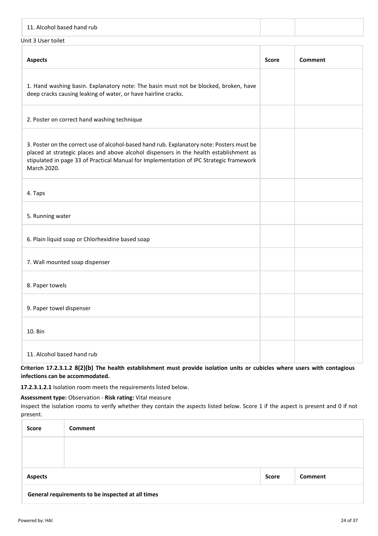| 11. Alcohol based hand rub                                                                                                                                                                                                                                                                    |              |                |  |  |  |
|-----------------------------------------------------------------------------------------------------------------------------------------------------------------------------------------------------------------------------------------------------------------------------------------------|--------------|----------------|--|--|--|
| Unit 3 User toilet                                                                                                                                                                                                                                                                            |              |                |  |  |  |
| <b>Aspects</b>                                                                                                                                                                                                                                                                                | <b>Score</b> | <b>Comment</b> |  |  |  |
| 1. Hand washing basin. Explanatory note: The basin must not be blocked, broken, have<br>deep cracks causing leaking of water, or have hairline cracks.                                                                                                                                        |              |                |  |  |  |
| 2. Poster on correct hand washing technique                                                                                                                                                                                                                                                   |              |                |  |  |  |
| 3. Poster on the correct use of alcohol-based hand rub. Explanatory note: Posters must be<br>placed at strategic places and above alcohol dispensers in the health establishment as<br>stipulated in page 33 of Practical Manual for Implementation of IPC Strategic framework<br>March 2020. |              |                |  |  |  |
| 4. Taps                                                                                                                                                                                                                                                                                       |              |                |  |  |  |
| 5. Running water                                                                                                                                                                                                                                                                              |              |                |  |  |  |
| 6. Plain liquid soap or Chlorhexidine based soap                                                                                                                                                                                                                                              |              |                |  |  |  |
| 7. Wall mounted soap dispenser                                                                                                                                                                                                                                                                |              |                |  |  |  |
| 8. Paper towels                                                                                                                                                                                                                                                                               |              |                |  |  |  |
| 9. Paper towel dispenser                                                                                                                                                                                                                                                                      |              |                |  |  |  |
| 10. Bin                                                                                                                                                                                                                                                                                       |              |                |  |  |  |
| 11. Alcohol based hand rub                                                                                                                                                                                                                                                                    |              |                |  |  |  |

**Criterion 17.2.3.1.2 8(2)(b) The health establishment must provide isolation units or cubicles where users with contagious infections can be accommodated.**

**17.2.3.1.2.1** Isolation room meets the requirements listed below.

**Assessment type:** Observation - **Risk rating:** Vital measure

Inspect the isolation rooms to verify whether they contain the aspects listed below. Score 1 if the aspect is present and 0 if not present.

| <b>Score</b>   | <b>Comment</b>                                    |       |         |
|----------------|---------------------------------------------------|-------|---------|
|                |                                                   |       |         |
|                |                                                   |       |         |
| <b>Aspects</b> |                                                   | Score | Comment |
|                | General requirements to be inspected at all times |       |         |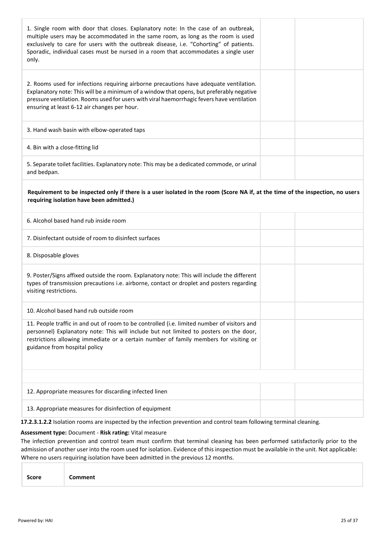| 1. Single room with door that closes. Explanatory note: In the case of an outbreak,<br>multiple users may be accommodated in the same room, as long as the room is used<br>exclusively to care for users with the outbreak disease, i.e. "Cohorting" of patients.<br>Sporadic, individual cases must be nursed in a room that accommodates a single user<br>only. |  |
|-------------------------------------------------------------------------------------------------------------------------------------------------------------------------------------------------------------------------------------------------------------------------------------------------------------------------------------------------------------------|--|
| 2. Rooms used for infections requiring airborne precautions have adequate ventilation.<br>Explanatory note: This will be a minimum of a window that opens, but preferably negative<br>pressure ventilation. Rooms used for users with viral haemorrhagic fevers have ventilation<br>ensuring at least 6-12 air changes per hour.                                  |  |
| 3. Hand wash basin with elbow-operated taps                                                                                                                                                                                                                                                                                                                       |  |
| 4. Bin with a close-fitting lid                                                                                                                                                                                                                                                                                                                                   |  |
| 5. Separate toilet facilities. Explanatory note: This may be a dedicated commode, or urinal<br>and bedpan.                                                                                                                                                                                                                                                        |  |
| Requirement to be inspected only if there is a user isolated in the room (Score NA if, at the time of the inspection, no users<br>requiring isolation have been admitted.)                                                                                                                                                                                        |  |
| 6. Alcohol based hand rub inside room                                                                                                                                                                                                                                                                                                                             |  |
| 7. Disinfectant outside of room to disinfect surfaces                                                                                                                                                                                                                                                                                                             |  |
| 8. Disposable gloves                                                                                                                                                                                                                                                                                                                                              |  |
| 9. Poster/Signs affixed outside the room. Explanatory note: This will include the different<br>types of transmission precautions i.e. airborne, contact or droplet and posters regarding<br>visiting restrictions.                                                                                                                                                |  |
| 10. Alcohol based hand rub outside room                                                                                                                                                                                                                                                                                                                           |  |
| 11. People traffic in and out of room to be controlled (i.e. limited number of visitors and<br>personnel) Explanatory note: This will include but not limited to posters on the door,<br>restrictions allowing immediate or a certain number of family members for visiting or<br>guidance from hospital policy                                                   |  |
|                                                                                                                                                                                                                                                                                                                                                                   |  |
| 12. Appropriate measures for discarding infected linen                                                                                                                                                                                                                                                                                                            |  |
| 13. Appropriate measures for disinfection of equipment                                                                                                                                                                                                                                                                                                            |  |

**17.2.3.1.2.2** Isolation rooms are inspected by the infection prevention and control team following terminal cleaning.

#### **Assessment type:** Document - **Risk rating:** Vital measure

The infection prevention and control team must confirm that terminal cleaning has been performed satisfactorily prior to the admission of another user into the room used for isolation. Evidence of this inspection must be available in the unit. Not applicable: Where no users requiring isolation have been admitted in the previous 12 months.

| Score |
|-------|
|-------|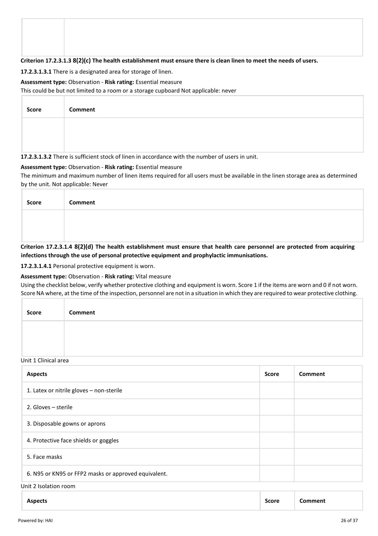#### **Criterion 17.2.3.1.3 8(2)(c) The health establishment must ensure there is clean linen to meet the needs of users.**

#### **17.2.3.1.3.1** There is a designated area for storage of linen.

#### **Assessment type:** Observation - **Risk rating:** Essential measure

This could be but not limited to a room or a storage cupboard Not applicable: never

| <b>Score</b> | Comment                                                                                         |
|--------------|-------------------------------------------------------------------------------------------------|
|              |                                                                                                 |
|              |                                                                                                 |
|              | 17.2.3.1.3.2 There is sufficient stock of linen in accordance with the number of users in unit. |

# **Assessment type:** Observation - **Risk rating:** Essential measure

The minimum and maximum number of linen items required for all users must be available in the linen storage area as determined by the unit. Not applicable: Never

| Score | <b>Comment</b>                                                                                                           |
|-------|--------------------------------------------------------------------------------------------------------------------------|
|       |                                                                                                                          |
|       | Critorian 17 2 2 1 4 8(2)(d) The health establishment must ensure that health sare nersonnel are protected from assuming |

**Criterion 17.2.3.1.4 8(2)(d) The health establishment must ensure that health care personnel are protected from acquiring infections through the use of personal protective equipment and prophylactic immunisations.**

**17.2.3.1.4.1** Personal protective equipment is worn.

#### **Assessment type:** Observation - **Risk rating:** Vital measure

Using the checklist below, verify whether protective clothing and equipment is worn. Score 1 if the items are worn and 0 if not worn. Score NA where, at the time of the inspection, personnel are not in a situation in which they are required to wear protective clothing.

| Score | Comment |
|-------|---------|
|       |         |
|       |         |

#### Unit 1 Clinical area

| <b>Aspects</b>                                       | <b>Score</b> | Comment |
|------------------------------------------------------|--------------|---------|
| 1. Latex or nitrile gloves - non-sterile             |              |         |
| 2. Gloves – sterile                                  |              |         |
| 3. Disposable gowns or aprons                        |              |         |
| 4. Protective face shields or goggles                |              |         |
| 5. Face masks                                        |              |         |
| 6. N95 or KN95 or FFP2 masks or approved equivalent. |              |         |
| Unit 2 Isolation room                                |              |         |

| <b>Aspects</b> | <b>Score</b><br>- - - - | mmen |
|----------------|-------------------------|------|
|----------------|-------------------------|------|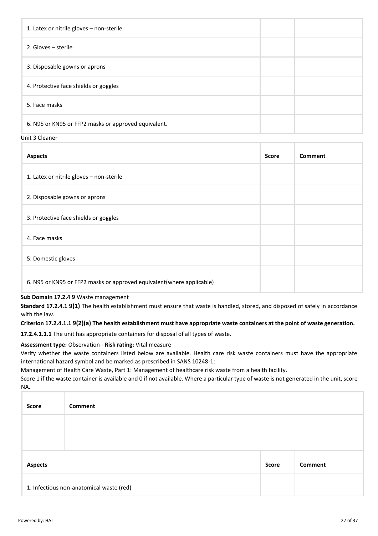| 1. Latex or nitrile gloves - non-sterile             |  |
|------------------------------------------------------|--|
| 2. Gloves – sterile                                  |  |
| 3. Disposable gowns or aprons                        |  |
| 4. Protective face shields or goggles                |  |
| 5. Face masks                                        |  |
| 6. N95 or KN95 or FFP2 masks or approved equivalent. |  |

Unit 3 Cleaner

| <b>Aspects</b>                                                        | <b>Score</b> | <b>Comment</b> |
|-----------------------------------------------------------------------|--------------|----------------|
| 1. Latex or nitrile gloves - non-sterile                              |              |                |
| 2. Disposable gowns or aprons                                         |              |                |
| 3. Protective face shields or goggles                                 |              |                |
| 4. Face masks                                                         |              |                |
| 5. Domestic gloves                                                    |              |                |
| 6. N95 or KN95 or FFP2 masks or approved equivalent(where applicable) |              |                |

**Sub Domain 17.2.4 9** Waste management

**Standard 17.2.4.1 9(1)** The health establishment must ensure that waste is handled, stored, and disposed of safely in accordance with the law.

**Criterion 17.2.4.1.1 9(2)(a) The health establishment must have appropriate waste containers at the point of waste generation.**

**17.2.4.1.1.1** The unit has appropriate containers for disposal of all types of waste.

**Assessment type:** Observation - **Risk rating:** Vital measure

Verify whether the waste containers listed below are available. Health care risk waste containers must have the appropriate international hazard symbol and be marked as prescribed in SANS 10248-1:

Management of Health Care Waste, Part 1: Management of healthcare risk waste from a health facility.

Score 1 if the waste container is available and 0 if not available. Where a particular type of waste is not generated in the unit, score NA.

| Score          | Comment                                  |              |         |
|----------------|------------------------------------------|--------------|---------|
|                |                                          |              |         |
|                |                                          |              |         |
| <b>Aspects</b> |                                          | <b>Score</b> | Comment |
|                | 1. Infectious non-anatomical waste (red) |              |         |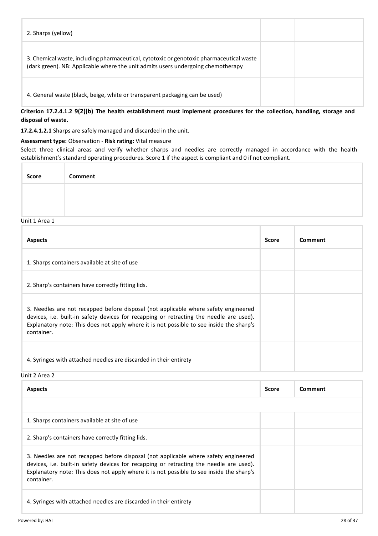| 2. Sharps (yellow)                                                                                                                                                           |  |
|------------------------------------------------------------------------------------------------------------------------------------------------------------------------------|--|
| 3. Chemical waste, including pharmaceutical, cytotoxic or genotoxic pharmaceutical waste<br>(dark green). NB: Applicable where the unit admits users undergoing chemotherapy |  |
| 4. General waste (black, beige, white or transparent packaging can be used)                                                                                                  |  |

**Criterion 17.2.4.1.2 9(2)(b) The health establishment must implement procedures for the collection, handling, storage and disposal of waste.**

**17.2.4.1.2.1** Sharps are safely managed and discarded in the unit.

#### **Assessment type:** Observation - **Risk rating:** Vital measure

Select three clinical areas and verify whether sharps and needles are correctly managed in accordance with the health establishment's standard operating procedures. Score 1 if the aspect is compliant and 0 if not compliant.

| <b>Score</b> | Comment |
|--------------|---------|
|              |         |
|              |         |

# Unit 1 Area 1

| <b>Aspects</b>                                                                                                                                                                                                                                                                           | <b>Score</b> | Comment |
|------------------------------------------------------------------------------------------------------------------------------------------------------------------------------------------------------------------------------------------------------------------------------------------|--------------|---------|
| 1. Sharps containers available at site of use                                                                                                                                                                                                                                            |              |         |
| 2. Sharp's containers have correctly fitting lids.                                                                                                                                                                                                                                       |              |         |
| 3. Needles are not recapped before disposal (not applicable where safety engineered<br>devices, i.e. built-in safety devices for recapping or retracting the needle are used).<br>Explanatory note: This does not apply where it is not possible to see inside the sharp's<br>container. |              |         |
| 4. Syringes with attached needles are discarded in their entirety                                                                                                                                                                                                                        |              |         |

Unit 2 Area 2

| <b>Aspects</b>                                                                                                                                                                                                                                                                           | <b>Score</b> | Comment |
|------------------------------------------------------------------------------------------------------------------------------------------------------------------------------------------------------------------------------------------------------------------------------------------|--------------|---------|
|                                                                                                                                                                                                                                                                                          |              |         |
| 1. Sharps containers available at site of use                                                                                                                                                                                                                                            |              |         |
| 2. Sharp's containers have correctly fitting lids.                                                                                                                                                                                                                                       |              |         |
| 3. Needles are not recapped before disposal (not applicable where safety engineered<br>devices, i.e. built-in safety devices for recapping or retracting the needle are used).<br>Explanatory note: This does not apply where it is not possible to see inside the sharp's<br>container. |              |         |
| 4. Syringes with attached needles are discarded in their entirety                                                                                                                                                                                                                        |              |         |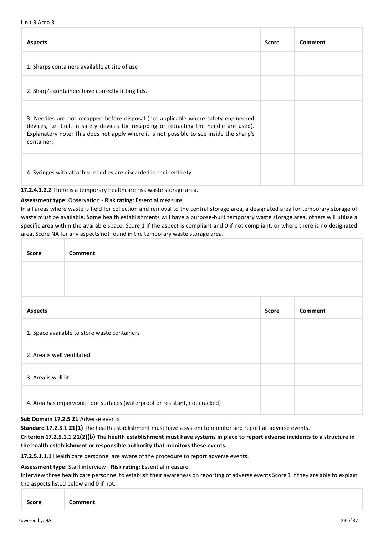#### Unit 3 Area 3

| <b>Aspects</b>                                                                                                                                                                                                                                                                           | <b>Score</b> | Comment |
|------------------------------------------------------------------------------------------------------------------------------------------------------------------------------------------------------------------------------------------------------------------------------------------|--------------|---------|
| 1. Sharps containers available at site of use                                                                                                                                                                                                                                            |              |         |
| 2. Sharp's containers have correctly fitting lids.                                                                                                                                                                                                                                       |              |         |
| 3. Needles are not recapped before disposal (not applicable where safety engineered<br>devices, i.e. built-in safety devices for recapping or retracting the needle are used).<br>Explanatory note: This does not apply where it is not possible to see inside the sharp's<br>container. |              |         |
| 4. Syringes with attached needles are discarded in their entirety                                                                                                                                                                                                                        |              |         |

**17.2.4.1.2.2** There is a temporary healthcare risk waste storage area.

#### **Assessment type:** Observation - **Risk rating:** Essential measure

In all areas where waste is held for collection and removal to the central storage area, a designated area for temporary storage of waste must be available. Some health establishments will have a purpose-built temporary waste storage area, others will utilise a specific area within the available space. Score 1 if the aspect is compliant and 0 if not compliant, or where there is no designated area. Score NA for any aspects not found in the temporary waste storage area.

| <b>Score</b>               | <b>Comment</b>                                                               |              |         |
|----------------------------|------------------------------------------------------------------------------|--------------|---------|
|                            |                                                                              |              |         |
|                            |                                                                              |              |         |
| <b>Aspects</b>             |                                                                              | <b>Score</b> | Comment |
|                            | 1. Space available to store waste containers                                 |              |         |
| 2. Area is well ventilated |                                                                              |              |         |
| 3. Area is well lit        |                                                                              |              |         |
|                            | 4. Area has impervious floor surfaces (waterproof or resistant, not cracked) |              |         |

#### **Sub Domain 17.2.5 21** Adverse events

**Standard 17.2.5.1 21(1)** The health establishment must have a system to monitor and report all adverse events.

#### **Criterion 17.2.5.1.1 21(2)(b) The health establishment must have systems in place to report adverse incidents to a structure in the health establishment or responsible authority that monitors these events.**

**17.2.5.1.1.1** Health care personnel are aware of the procedure to report adverse events.

#### **Assessment type:** Staff interview - **Risk rating:** Essential measure

Interview three health care personnel to establish their awareness on reporting of adverse events Score 1 if they are able to explain the aspects listed below and 0 if not.

|--|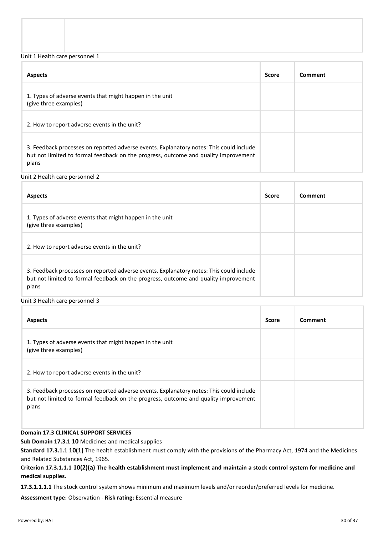Unit 1 Health care personnel 1

| <b>Aspects</b>                                                                                                                                                                          | <b>Score</b> | Comment |
|-----------------------------------------------------------------------------------------------------------------------------------------------------------------------------------------|--------------|---------|
| 1. Types of adverse events that might happen in the unit<br>(give three examples)                                                                                                       |              |         |
| 2. How to report adverse events in the unit?                                                                                                                                            |              |         |
| 3. Feedback processes on reported adverse events. Explanatory notes: This could include<br>but not limited to formal feedback on the progress, outcome and quality improvement<br>plans |              |         |

Unit 2 Health care personnel 2

| <b>Aspects</b>                                                                                                                                                                          | <b>Score</b> | Comment |
|-----------------------------------------------------------------------------------------------------------------------------------------------------------------------------------------|--------------|---------|
| 1. Types of adverse events that might happen in the unit<br>(give three examples)                                                                                                       |              |         |
| 2. How to report adverse events in the unit?                                                                                                                                            |              |         |
| 3. Feedback processes on reported adverse events. Explanatory notes: This could include<br>but not limited to formal feedback on the progress, outcome and quality improvement<br>plans |              |         |

Unit 3 Health care personnel 3

| <b>Aspects</b>                                                                                                                                                                          | <b>Score</b> | Comment |
|-----------------------------------------------------------------------------------------------------------------------------------------------------------------------------------------|--------------|---------|
| 1. Types of adverse events that might happen in the unit<br>(give three examples)                                                                                                       |              |         |
| 2. How to report adverse events in the unit?                                                                                                                                            |              |         |
| 3. Feedback processes on reported adverse events. Explanatory notes: This could include<br>but not limited to formal feedback on the progress, outcome and quality improvement<br>plans |              |         |

# **Domain 17.3 CLINICAL SUPPORT SERVICES**

**Sub Domain 17.3.1 10** Medicines and medical supplies

**Standard 17.3.1.1 10(1)** The health establishment must comply with the provisions of the Pharmacy Act, 1974 and the Medicines and Related Substances Act, 1965.

**Criterion 17.3.1.1.1 10(2)(a) The health establishment must implement and maintain a stock control system for medicine and medical supplies.**

**17.3.1.1.1.1** The stock control system shows minimum and maximum levels and/or reorder/preferred levels for medicine.

**Assessment type:** Observation - **Risk rating:** Essential measure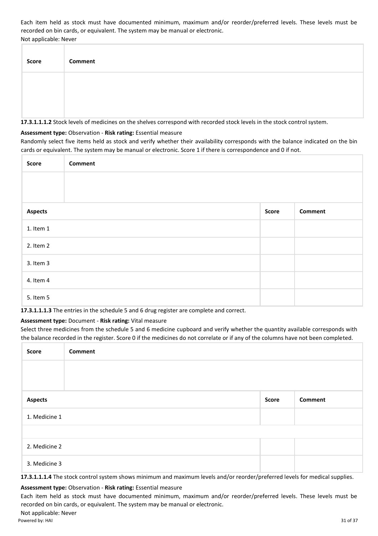Each item held as stock must have documented minimum, maximum and/or reorder/preferred levels. These levels must be recorded on bin cards, or equivalent. The system may be manual or electronic. Not applicable: Never

| <b>Score</b> | <b>Comment</b> |
|--------------|----------------|
|              |                |
|              |                |

**17.3.1.1.1.2** Stock levels of medicines on the shelves correspond with recorded stock levels in the stock control system.

#### **Assessment type:** Observation - **Risk rating:** Essential measure

Randomly select five items held as stock and verify whether their availability corresponds with the balance indicated on the bin cards or equivalent. The system may be manual or electronic. Score 1 if there is correspondence and 0 if not.

| Score          | <b>Comment</b> |       |                |
|----------------|----------------|-------|----------------|
|                |                |       |                |
|                |                |       |                |
| <b>Aspects</b> |                | Score | <b>Comment</b> |
| 1. Item 1      |                |       |                |
| 2. Item 2      |                |       |                |
| 3. Item 3      |                |       |                |
| 4. Item 4      |                |       |                |
| 5. Item 5      |                |       |                |

**17.3.1.1.1.3** The entries in the schedule 5 and 6 drug register are complete and correct.

# **Assessment type:** Document - **Risk rating:** Vital measure

Select three medicines from the schedule 5 and 6 medicine cupboard and verify whether the quantity available corresponds with the balance recorded in the register. Score 0 if the medicines do not correlate or if any of the columns have not been completed.

| Score          | <b>Comment</b> |              |                |
|----------------|----------------|--------------|----------------|
|                |                |              |                |
|                |                |              |                |
| <b>Aspects</b> |                | <b>Score</b> | <b>Comment</b> |
| 1. Medicine 1  |                |              |                |
|                |                |              |                |
| 2. Medicine 2  |                |              |                |
| 3. Medicine 3  |                |              |                |

**17.3.1.1.1.4** The stock control system shows minimum and maximum levels and/or reorder/preferred levels for medical supplies.

# **Assessment type:** Observation - **Risk rating:** Essential measure

Each item held as stock must have documented minimum, maximum and/or reorder/preferred levels. These levels must be recorded on bin cards, or equivalent. The system may be manual or electronic.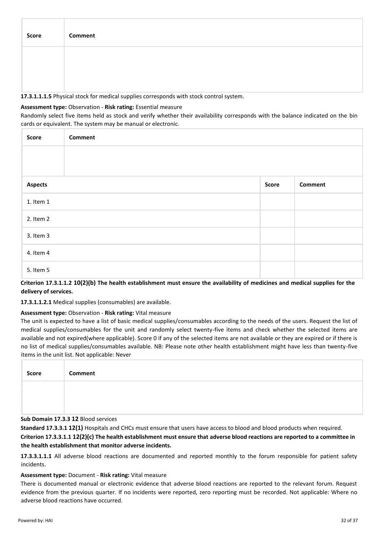| Score | Comment |
|-------|---------|
|       |         |
|       |         |

**17.3.1.1.1.5** Physical stock for medical supplies corresponds with stock control system.

#### **Assessment type:** Observation - **Risk rating:** Essential measure

Randomly select five items held as stock and verify whether their availability corresponds with the balance indicated on the bin cards or equivalent. The system may be manual or electronic.

| Score          | <b>Comment</b> |       |         |
|----------------|----------------|-------|---------|
|                |                |       |         |
|                |                |       |         |
| <b>Aspects</b> |                | Score | Comment |
| 1. Item 1      |                |       |         |
| 2. Item 2      |                |       |         |
| 3. Item 3      |                |       |         |
| 4. Item 4      |                |       |         |
| 5. Item 5      |                |       |         |

**Criterion 17.3.1.1.2 10(2)(b) The health establishment must ensure the availability of medicines and medical supplies for the delivery of services.**

**17.3.1.1.2.1** Medical supplies (consumables) are available.

# **Assessment type:** Observation - **Risk rating:** Vital measure

The unit is expected to have a list of basic medical supplies/consumables according to the needs of the users. Request the list of medical supplies/consumables for the unit and randomly select twenty-five items and check whether the selected items are available and not expired(where applicable). Score 0 if any of the selected items are not available or they are expired or if there is no list of medical supplies/consumables available. NB: Please note other health establishment might have less than twenty-five items in the unit list. Not applicable: Never

| Score | Comment |
|-------|---------|
|       |         |
|       |         |

#### **Sub Domain 17.3.3 12** Blood services

**Standard 17.3.3.1 12(1)** Hospitals and CHCs must ensure that users have access to blood and blood products when required.

**Criterion 17.3.3.1.1 12(2)(c) The health establishment must ensure that adverse blood reactions are reported to a committee in the health establishment that monitor adverse incidents.**

**17.3.3.1.1.1** All adverse blood reactions are documented and reported monthly to the forum responsible for patient safety incidents.

#### **Assessment type:** Document - **Risk rating:** Vital measure

There is documented manual or electronic evidence that adverse blood reactions are reported to the relevant forum. Request evidence from the previous quarter. If no incidents were reported, zero reporting must be recorded. Not applicable: Where no adverse blood reactions have occurred.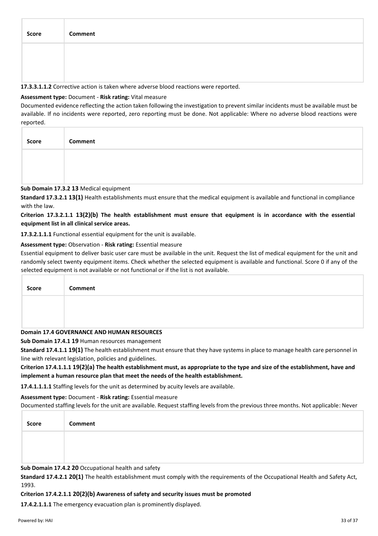| Score | Comment |
|-------|---------|
|       |         |
|       |         |

**17.3.3.1.1.2** Corrective action is taken where adverse blood reactions were reported.

#### **Assessment type:** Document - **Risk rating:** Vital measure

Documented evidence reflecting the action taken following the investigation to prevent similar incidents must be available must be available. If no incidents were reported, zero reporting must be done. Not applicable: Where no adverse blood reactions were reported.

| Score | Comment |
|-------|---------|
|       |         |
|       |         |

#### **Sub Domain 17.3.2 13** Medical equipment

**Standard 17.3.2.1 13(1)** Health establishments must ensure that the medical equipment is available and functional in compliance with the law.

#### **Criterion 17.3.2.1.1 13(2)(b) The health establishment must ensure that equipment is in accordance with the essential equipment list in all clinical service areas.**

**17.3.2.1.1.1** Functional essential equipment for the unit is available.

#### **Assessment type:** Observation - **Risk rating:** Essential measure

Essential equipment to deliver basic user care must be available in the unit. Request the list of medical equipment for the unit and randomly select twenty equipment items. Check whether the selected equipment is available and functional. Score 0 if any of the selected equipment is not available or not functional or if the list is not available.

| Score | <b>Comment</b>                             |
|-------|--------------------------------------------|
|       |                                            |
|       |                                            |
|       | Domain 17.4 GOVERNANCE AND HUMAN RESOURCES |

**Sub Domain 17.4.1 19** Human resources management

**Standard 17.4.1.1 19(1)** The health establishment must ensure that they have systems in place to manage health care personnel in line with relevant legislation, policies and guidelines.

**Criterion 17.4.1.1.1 19(2)(a) The health establishment must, as appropriate to the type and size of the establishment, have and implement a human resource plan that meet the needs of the health establishment.**

**17.4.1.1.1.1** Staffing levels for the unit as determined by acuity levels are available.

# **Assessment type:** Document - **Risk rating:** Essential measure

Documented staffing levels for the unit are available. Request staffing levels from the previous three months. Not applicable: Never

| Score | Comment |
|-------|---------|
|       |         |
|       |         |

**Sub Domain 17.4.2 20** Occupational health and safety

**Standard 17.4.2.1 20(1)** The health establishment must comply with the requirements of the Occupational Health and Safety Act, 1993.

#### **Criterion 17.4.2.1.1 20(2)(b) Awareness of safety and security issues must be promoted**

**17.4.2.1.1.1** The emergency evacuation plan is prominently displayed.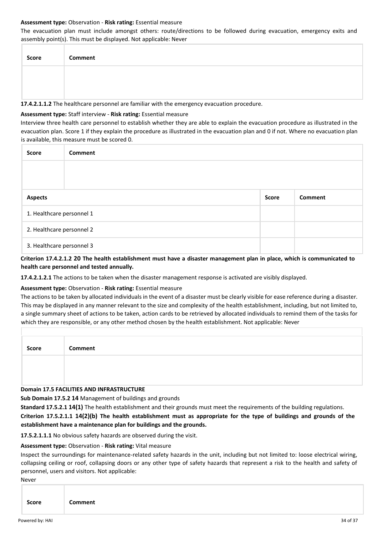#### **Assessment type:** Observation - **Risk rating:** Essential measure

The evacuation plan must include amongst others: route/directions to be followed during evacuation, emergency exits and assembly point(s). This must be displayed. Not applicable: Never

| <b>Score</b> | <b>Comment</b>                                                                              |
|--------------|---------------------------------------------------------------------------------------------|
|              |                                                                                             |
|              |                                                                                             |
|              | 17.4.2.1.1.2 The healthcare personnel are familiar with the emergency evacuation procedure. |

# **Assessment type:** Staff interview - **Risk rating:** Essential measure

Interview three health care personnel to establish whether they are able to explain the evacuation procedure as illustrated in the evacuation plan. Score 1 if they explain the procedure as illustrated in the evacuation plan and 0 if not. Where no evacuation plan is available, this measure must be scored 0.

| <b>Score</b>              | Comment |              |                |
|---------------------------|---------|--------------|----------------|
|                           |         |              |                |
|                           |         |              |                |
| <b>Aspects</b>            |         | <b>Score</b> | <b>Comment</b> |
| 1. Healthcare personnel 1 |         |              |                |
| 2. Healthcare personnel 2 |         |              |                |
| 3. Healthcare personnel 3 |         |              |                |

**Criterion 17.4.2.1.2 20 The health establishment must have a disaster management plan in place, which is communicated to health care personnel and tested annually.**

**17.4.2.1.2.1** The actions to be taken when the disaster management response is activated are visibly displayed.

# **Assessment type:** Observation - **Risk rating:** Essential measure

The actions to be taken by allocated individuals in the event of a disaster must be clearly visible for ease reference during a disaster. This may be displayed in any manner relevant to the size and complexity of the health establishment, including, but not limited to, a single summary sheet of actions to be taken, action cards to be retrieved by allocated individuals to remind them of the tasks for which they are responsible, or any other method chosen by the health establishment. Not applicable: Never

| <b>Score</b> | Comment |
|--------------|---------|
|              |         |
|              |         |
|              |         |

#### **Domain 17.5 FACILITIES AND INFRASTRUCTURE**

**Sub Domain 17.5.2 14** Management of buildings and grounds

**Standard 17.5.2.1 14(1)** The health establishment and their grounds must meet the requirements of the building regulations.

**Criterion 17.5.2.1.1 14(2)(b) The health establishment must as appropriate for the type of buildings and grounds of the establishment have a maintenance plan for buildings and the grounds.**

**17.5.2.1.1.1** No obvious safety hazards are observed during the visit.

# **Assessment type:** Observation - **Risk rating:** Vital measure

Inspect the surroundings for maintenance-related safety hazards in the unit, including but not limited to: loose electrical wiring, collapsing ceiling or roof, collapsing doors or any other type of safety hazards that represent a risk to the health and safety of personnel, users and visitors. Not applicable:

Never

|--|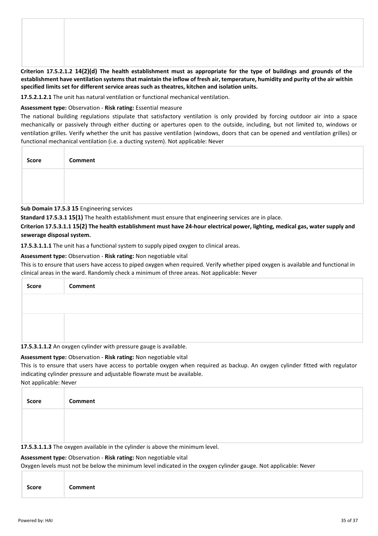**Criterion 17.5.2.1.2 14(2)(d) The health establishment must as appropriate for the type of buildings and grounds of the establishment have ventilation systems that maintain the inflow of fresh air, temperature, humidity and purity of the air within specified limits set for different service areas such as theatres, kitchen and isolation units.** 

**17.5.2.1.2.1** The unit has natural ventilation or functional mechanical ventilation.

#### **Assessment type:** Observation - **Risk rating:** Essential measure

The national building regulations stipulate that satisfactory ventilation is only provided by forcing outdoor air into a space mechanically or passively through either ducting or apertures open to the outside, including, but not limited to, windows or ventilation grilles. Verify whether the unit has passive ventilation (windows, doors that can be opened and ventilation grilles) or functional mechanical ventilation (i.e. a ducting system). Not applicable: Never

| Score | Comment |
|-------|---------|
|       |         |
|       |         |

**Sub Domain 17.5.3 15** Engineering services

**Standard 17.5.3.1 15(1)** The health establishment must ensure that engineering services are in place.

**Criterion 17.5.3.1.1 15(2) The health establishment must have 24-hour electrical power, lighting, medical gas, water supply and sewerage disposal system.**

**17.5.3.1.1.1** The unit has a functional system to supply piped oxygen to clinical areas.

#### **Assessment type:** Observation - **Risk rating:** Non negotiable vital

This is to ensure that users have access to piped oxygen when required. Verify whether piped oxygen is available and functional in clinical areas in the ward. Randomly check a minimum of three areas. Not applicable: Never

| <b>Score</b> | <b>Comment</b>                                                    |
|--------------|-------------------------------------------------------------------|
|              |                                                                   |
|              |                                                                   |
|              |                                                                   |
|              | 17.5.3.1.1.2 An oxygen cylinder with pressure gauge is available. |

# **Assessment type:** Observation - **Risk rating:** Non negotiable vital

This is to ensure that users have access to portable oxygen when required as backup. An oxygen cylinder fitted with regulator indicating cylinder pressure and adjustable flowrate must be available.

Not applicable: Never

| <b>Score</b> | Comment |
|--------------|---------|
|              |         |
|              |         |

**17.5.3.1.1.3** The oxygen available in the cylinder is above the minimum level.

#### **Assessment type:** Observation - **Risk rating:** Non negotiable vital

Oxygen levels must not be below the minimum level indicated in the oxygen cylinder gauge. Not applicable: Never

|--|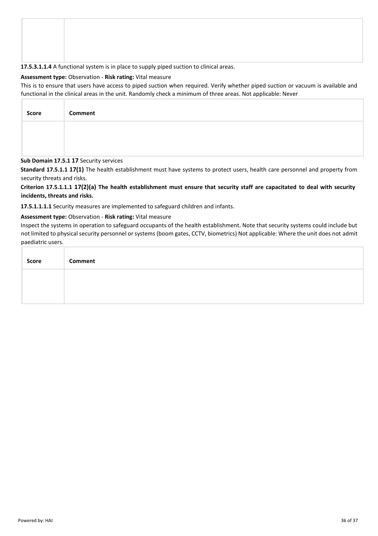#### **17.5.3.1.1.4** A functional system is in place to supply piped suction to clinical areas.

#### **Assessment type:** Observation - **Risk rating:** Vital measure

This is to ensure that users have access to piped suction when required. Verify whether piped suction or vacuum is available and functional in the clinical areas in the unit. Randomly check a minimum of three areas. Not applicable: Never

| <b>Score</b> | Comment |
|--------------|---------|
|              |         |
|              |         |

#### **Sub Domain 17.5.1 17** Security services

**Standard 17.5.1.1 17(1)** The health establishment must have systems to protect users, health care personnel and property from security threats and risks.

# **Criterion 17.5.1.1.1 17(2)(a) The health establishment must ensure that security staff are capacitated to deal with security incidents, threats and risks.**

**17.5.1.1.1.1** Security measures are implemented to safeguard children and infants.

#### **Assessment type:** Observation - **Risk rating:** Vital measure

Inspect the systems in operation to safeguard occupants of the health establishment. Note that security systems could include but not limited to physical security personnel or systems (boom gates, CCTV, biometrics) Not applicable: Where the unit does not admit paediatric users.

| Score | Comment |
|-------|---------|
|       |         |
|       |         |